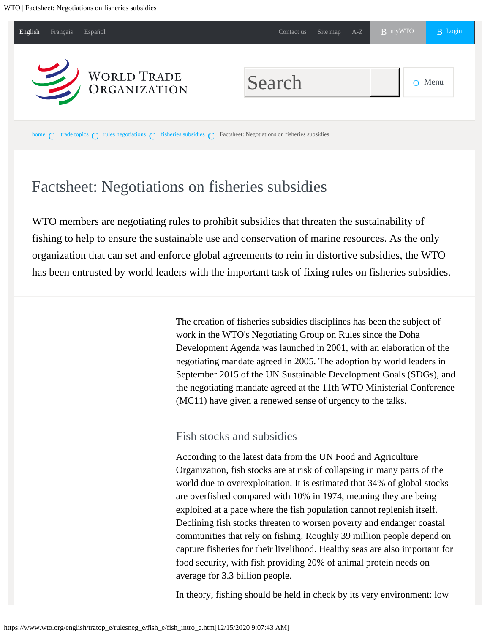<span id="page-0-0"></span>

# Factsheet: Negotiations on fisheries subsidies

WTO members are negotiating rules to prohibit subsidies that threaten the sustainability of fishing to help to ensure the sustainable use and conservation of marine resources. As the only organization that can set and enforce global agreements to rein in distortive subsidies, the WTO has been entrusted by world leaders with the important task of fixing rules on fisheries subsidies.

> The creation of fisheries subsidies disciplines has been the subject of work in the WTO's Negotiating Group on Rules since the Doha Development Agenda was launched in 2001, with an elaboration of the negotiating mandate agreed in 2005. The adoption by world leaders in September 2015 of the UN Sustainable Development Goals (SDGs), and the negotiating mandate agreed at the 11th WTO Ministerial Conference (MC11) have given a renewed sense of urgency to the talks.

# Fish stocks and subsidies

According to the latest data from the UN Food and Agriculture Organization, fish stocks are at risk of collapsing in many parts of the world due to overexploitation. It is estimated that 34% of global stocks are overfished compared with 10% in 1974, meaning they are being exploited at a pace where the fish population cannot replenish itself. Declining fish stocks threaten to worsen poverty and endanger coastal communities that rely on fishing. Roughly 39 million people depend on capture fisheries for their livelihood. Healthy seas are also important for food security, with fish providing 20% of animal protein needs on average for 3.3 billion people.

In theory, fishing should be held in check by its very environment: low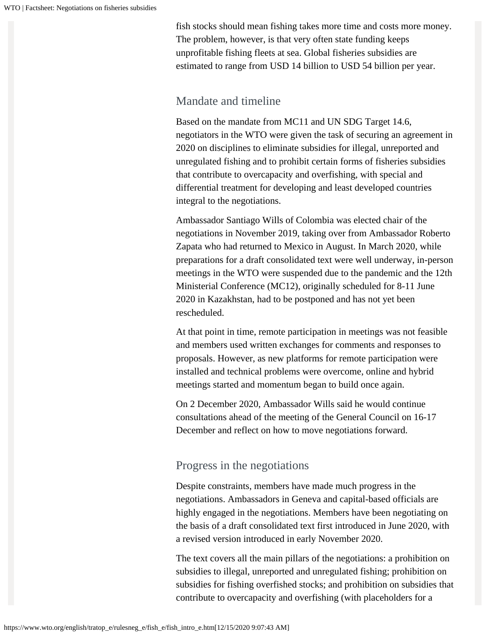fish stocks should mean fishing takes more time and costs more money. The problem, however, is that very often state funding keeps unprofitable fishing fleets at sea. Global fisheries subsidies are estimated to range from USD 14 billion to USD 54 billion per year.

### Mandate and timeline

Based on the mandate from MC11 and UN SDG Target 14.6, negotiators in the WTO were given the task of securing an agreement in 2020 on disciplines to eliminate subsidies for illegal, unreported and unregulated fishing and to prohibit certain forms of fisheries subsidies that contribute to overcapacity and overfishing, with special and differential treatment for developing and least developed countries integral to the negotiations.

Ambassador Santiago Wills of Colombia was elected chair of the negotiations in November 2019, taking over from Ambassador Roberto Zapata who had returned to Mexico in August. In March 2020, while preparations for a draft consolidated text were well underway, in-person meetings in the WTO were suspended due to the pandemic and the 12th Ministerial Conference (MC12), originally scheduled for 8-11 June 2020 in Kazakhstan, had to be postponed and has not yet been rescheduled.

At that point in time, remote participation in meetings was not feasible and members used written exchanges for comments and responses to proposals. However, as new platforms for remote participation were installed and technical problems were overcome, online and hybrid meetings started and momentum began to build once again.

On 2 December 2020, Ambassador Wills said he would continue consultations ahead of the meeting of the General Council on 16-17 December and reflect on how to move negotiations forward.

## Progress in the negotiations

Despite constraints, members have made much progress in the negotiations. Ambassadors in Geneva and capital-based officials are highly engaged in the negotiations. Members have been negotiating on the basis of a draft consolidated text first introduced in June 2020, with a revised version introduced in early November 2020.

The text covers all the main pillars of the negotiations: a prohibition on subsidies to illegal, unreported and unregulated fishing; prohibition on subsidies for fishing overfished stocks; and prohibition on subsidies that contribute to overcapacity and overfishing (with placeholders for a